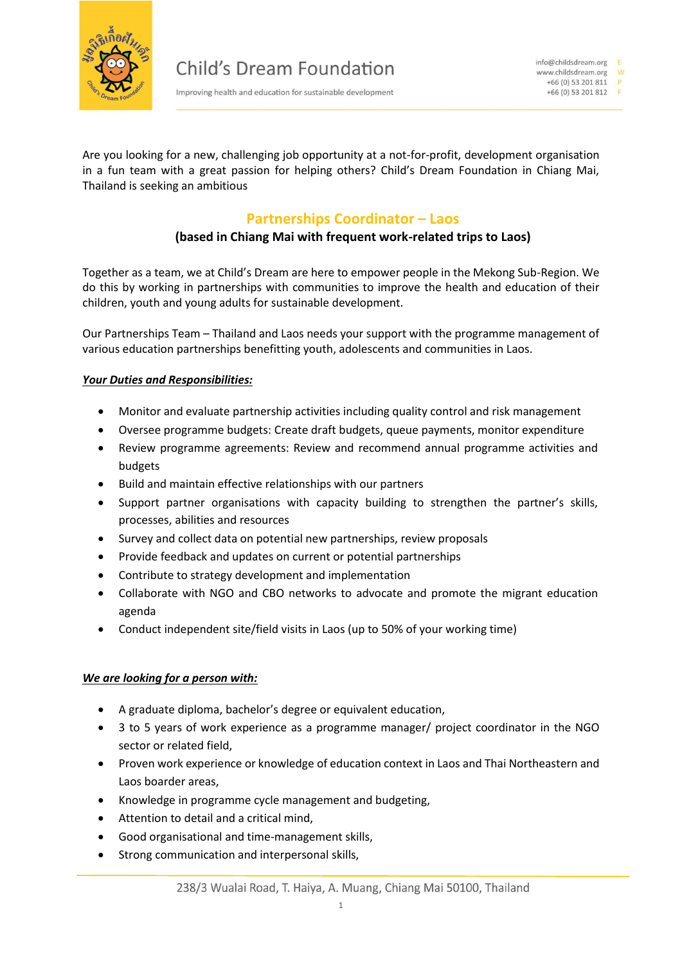

Improving health and education for sustainable development

Are you looking for a new, challenging job opportunity at a not-for-profit, development organisation in a fun team with a great passion for helping others? Child's Dream Foundation in Chiang Mai, Thailand is seeking an ambitious

# **Partnerships Coordinator – Laos**

## **(based in Chiang Mai with frequent work-related trips to Laos)**

Together as a team, we at Child's Dream are here to empower people in the Mekong Sub-Region. We do this by working in partnerships with communities to improve the health and education of their children, youth and young adults for sustainable development.

Our Partnerships Team – Thailand and Laos needs your support with the programme management of various education partnerships benefitting youth, adolescents and communities in Laos.

### *Your Duties and Responsibilities:*

- Monitor and evaluate partnership activities including quality control and risk management
- Oversee programme budgets: Create draft budgets, queue payments, monitor expenditure
- Review programme agreements: Review and recommend annual programme activities and budgets
- Build and maintain effective relationships with our partners
- Support partner organisations with capacity building to strengthen the partner's skills, processes, abilities and resources
- Survey and collect data on potential new partnerships, review proposals
- Provide feedback and updates on current or potential partnerships
- Contribute to strategy development and implementation
- Collaborate with NGO and CBO networks to advocate and promote the migrant education agenda
- Conduct independent site/field visits in Laos (up to 50% of your working time)

#### *We are looking for a person with:*

- A graduate diploma, bachelor's degree or equivalent education,
- 3 to 5 years of work experience as a programme manager/ project coordinator in the NGO sector or related field,
- Proven work experience or knowledge of education context in Laos and Thai Northeastern and Laos boarder areas,
- Knowledge in programme cycle management and budgeting,
- Attention to detail and a critical mind,
- Good organisational and time-management skills,
- Strong communication and interpersonal skills,